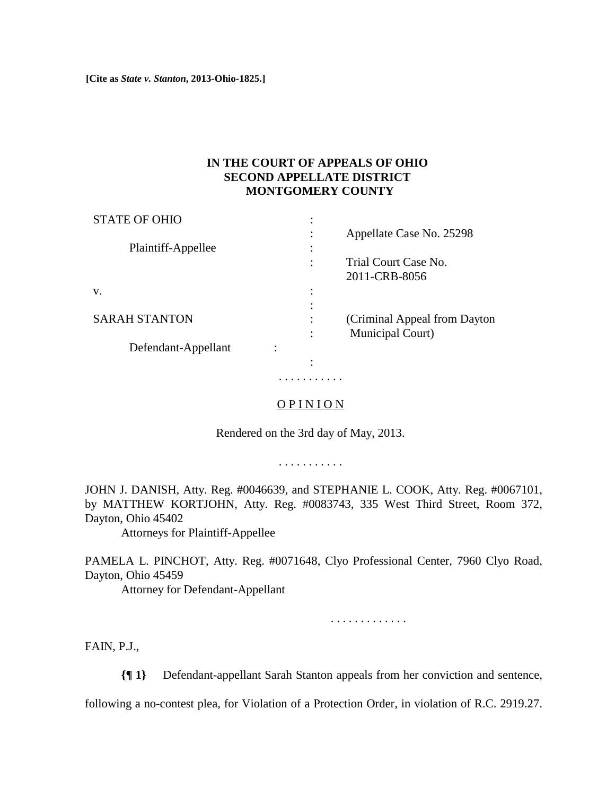**[Cite as** *State v. Stanton***, 2013-Ohio-1825.]**

## **IN THE COURT OF APPEALS OF OHIO SECOND APPELLATE DISTRICT MONTGOMERY COUNTY**

| <b>STATE OF OHIO</b> | ٠                   |                               |
|----------------------|---------------------|-------------------------------|
|                      | ٠<br>$\bullet$      | Appellate Case No. 25298      |
| Plaintiff-Appellee   | ٠                   |                               |
|                      | ٠                   | Trial Court Case No.          |
|                      |                     | 2011-CRB-8056                 |
| V.                   | ٠<br>$\bullet$      |                               |
|                      | ٠<br>٠              |                               |
| <b>SARAH STANTON</b> | ٠<br>$\blacksquare$ | (Criminal Appeal from Dayton) |
|                      | ٠                   | Municipal Court)              |
| Defendant-Appellant  |                     |                               |
|                      | ٠                   |                               |
|                      |                     |                               |

## OP INION

. . . . . . . . . . .

Rendered on the 3rd day of May, 2013.

. . . . . . . . . . .

JOHN J. DANISH, Atty. Reg. #0046639, and STEPHANIE L. COOK, Atty. Reg. #0067101, by MATTHEW KORTJOHN, Atty. Reg. #0083743, 335 West Third Street, Room 372, Dayton, Ohio 45402

Attorneys for Plaintiff-Appellee

PAMELA L. PINCHOT, Atty. Reg. #0071648, Clyo Professional Center, 7960 Clyo Road, Dayton, Ohio 45459

Attorney for Defendant-Appellant

. . . . . . . . . . . . .

FAIN, P.J.,

**{¶ 1}** Defendant-appellant Sarah Stanton appeals from her conviction and sentence,

following a no-contest plea, for Violation of a Protection Order, in violation of R.C. 2919.27.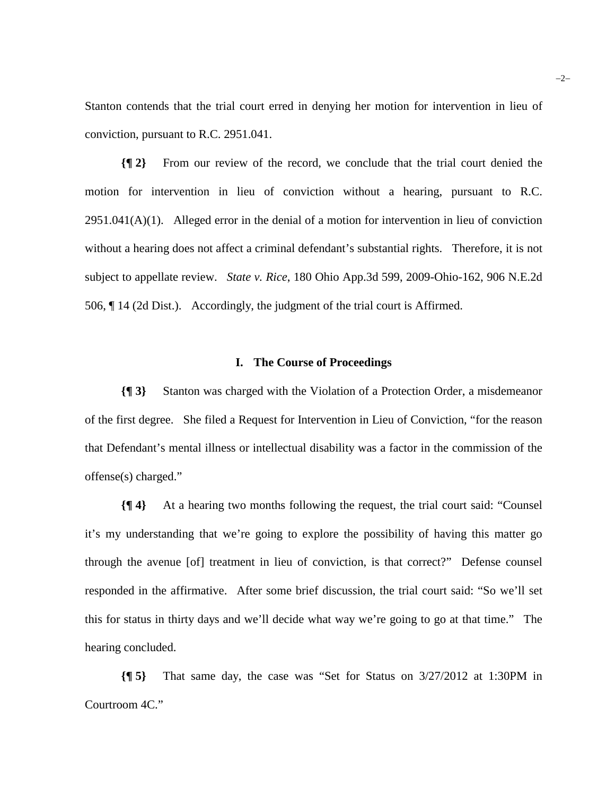Stanton contends that the trial court erred in denying her motion for intervention in lieu of conviction, pursuant to R.C. 2951.041.

**{¶ 2}** From our review of the record, we conclude that the trial court denied the motion for intervention in lieu of conviction without a hearing, pursuant to R.C.  $2951.041(A)(1)$ . Alleged error in the denial of a motion for intervention in lieu of conviction without a hearing does not affect a criminal defendant's substantial rights. Therefore, it is not subject to appellate review. *State v. Rice*, 180 Ohio App.3d 599, 2009-Ohio-162, 906 N.E.2d 506, ¶ 14 (2d Dist.). Accordingly, the judgment of the trial court is Affirmed.

#### **I. The Course of Proceedings**

**{¶ 3}** Stanton was charged with the Violation of a Protection Order, a misdemeanor of the first degree. She filed a Request for Intervention in Lieu of Conviction, "for the reason that Defendant's mental illness or intellectual disability was a factor in the commission of the offense(s) charged."

**{¶ 4}** At a hearing two months following the request, the trial court said: "Counsel it's my understanding that we're going to explore the possibility of having this matter go through the avenue [of] treatment in lieu of conviction, is that correct?" Defense counsel responded in the affirmative. After some brief discussion, the trial court said: "So we'll set this for status in thirty days and we'll decide what way we're going to go at that time." The hearing concluded.

**{¶ 5}** That same day, the case was "Set for Status on 3/27/2012 at 1:30PM in Courtroom 4C."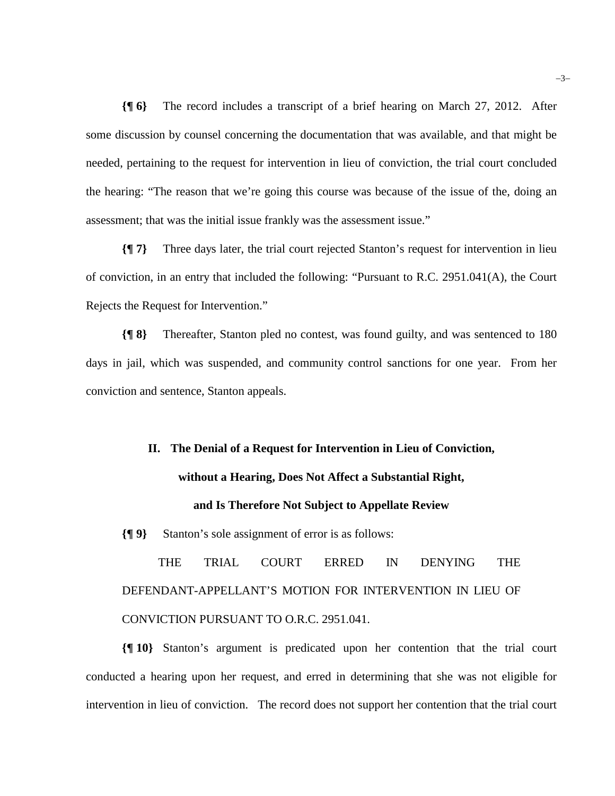**{¶ 6}** The record includes a transcript of a brief hearing on March 27, 2012. After some discussion by counsel concerning the documentation that was available, and that might be needed, pertaining to the request for intervention in lieu of conviction, the trial court concluded the hearing: "The reason that we're going this course was because of the issue of the, doing an assessment; that was the initial issue frankly was the assessment issue."

**{¶ 7}** Three days later, the trial court rejected Stanton's request for intervention in lieu of conviction, in an entry that included the following: "Pursuant to R.C. 2951.041(A), the Court Rejects the Request for Intervention."

**{¶ 8}** Thereafter, Stanton pled no contest, was found guilty, and was sentenced to 180 days in jail, which was suspended, and community control sanctions for one year. From her conviction and sentence, Stanton appeals.

# **II. The Denial of a Request for Intervention in Lieu of Conviction, without a Hearing, Does Not Affect a Substantial Right, and Is Therefore Not Subject to Appellate Review**

**{¶ 9}** Stanton's sole assignment of error is as follows:

THE TRIAL COURT ERRED IN DENYING THE DEFENDANT-APPELLANT'S MOTION FOR INTERVENTION IN LIEU OF CONVICTION PURSUANT TO O.R.C. 2951.041.

**{¶ 10}** Stanton's argument is predicated upon her contention that the trial court conducted a hearing upon her request, and erred in determining that she was not eligible for intervention in lieu of conviction. The record does not support her contention that the trial court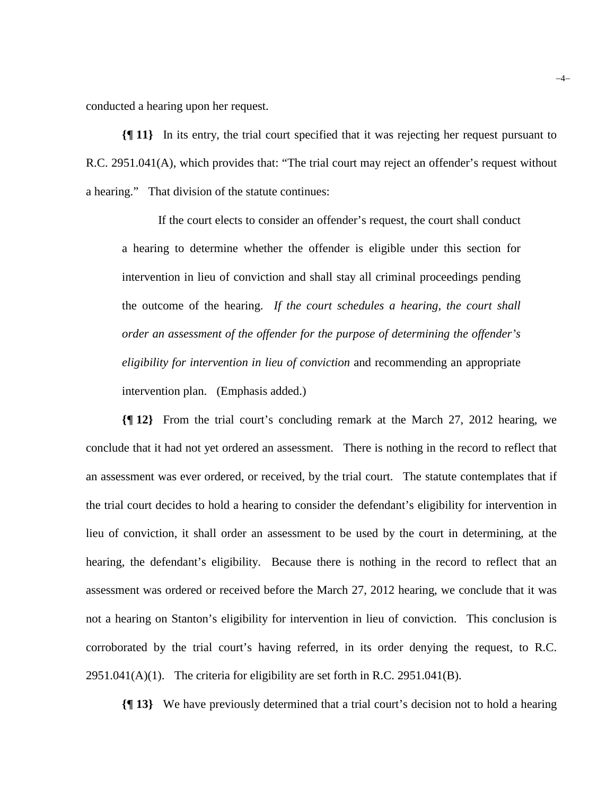conducted a hearing upon her request.

**{¶ 11}** In its entry, the trial court specified that it was rejecting her request pursuant to R.C. 2951.041(A), which provides that: "The trial court may reject an offender's request without a hearing." That division of the statute continues:

If the court elects to consider an offender's request, the court shall conduct a hearing to determine whether the offender is eligible under this section for intervention in lieu of conviction and shall stay all criminal proceedings pending the outcome of the hearing. *If the court schedules a hearing, the court shall order an assessment of the offender for the purpose of determining the offender's eligibility for intervention in lieu of conviction* and recommending an appropriate intervention plan. (Emphasis added.)

**{¶ 12}** From the trial court's concluding remark at the March 27, 2012 hearing, we conclude that it had not yet ordered an assessment. There is nothing in the record to reflect that an assessment was ever ordered, or received, by the trial court. The statute contemplates that if the trial court decides to hold a hearing to consider the defendant's eligibility for intervention in lieu of conviction, it shall order an assessment to be used by the court in determining, at the hearing, the defendant's eligibility. Because there is nothing in the record to reflect that an assessment was ordered or received before the March 27, 2012 hearing, we conclude that it was not a hearing on Stanton's eligibility for intervention in lieu of conviction. This conclusion is corroborated by the trial court's having referred, in its order denying the request, to R.C.  $2951.041(A)(1)$ . The criteria for eligibility are set forth in R.C. 2951.041(B).

**{¶ 13}** We have previously determined that a trial court's decision not to hold a hearing